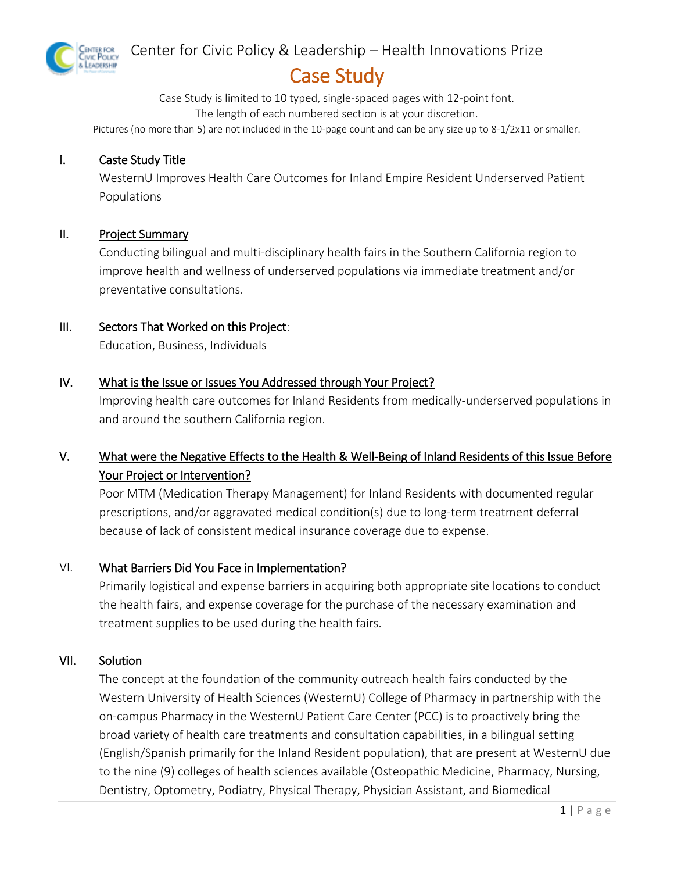

## Center for Civic Policy & Leadership – Health Innovations Prize

## Case Study

Case Study is limited to 10 typed, single-spaced pages with 12-point font. The length of each numbered section is at your discretion.

Pictures (no more than 5) are not included in the 10-page count and can be any size up to 8-1/2x11 or smaller.

#### I. Caste Study Title

WesternU Improves Health Care Outcomes for Inland Empire Resident Underserved Patient Populations

#### II. Project Summary

Conducting bilingual and multi-disciplinary health fairs in the Southern California region to improve health and wellness of underserved populations via immediate treatment and/or preventative consultations.

#### III. Sectors That Worked on this Project:

Education, Business, Individuals

#### IV. What is the Issue or Issues You Addressed through Your Project?

Improving health care outcomes for Inland Residents from medically-underserved populations in and around the southern California region.

## V. What were the Negative Effects to the Health & Well-Being of Inland Residents of this Issue Before Your Project or Intervention?

Poor MTM (Medication Therapy Management) for Inland Residents with documented regular prescriptions, and/or aggravated medical condition(s) due to long-term treatment deferral because of lack of consistent medical insurance coverage due to expense.

#### VI. What Barriers Did You Face in Implementation?

Primarily logistical and expense barriers in acquiring both appropriate site locations to conduct the health fairs, and expense coverage for the purchase of the necessary examination and treatment supplies to be used during the health fairs.

#### VII. Solution

The concept at the foundation of the community outreach health fairs conducted by the Western University of Health Sciences (WesternU) College of Pharmacy in partnership with the on-campus Pharmacy in the WesternU Patient Care Center (PCC) is to proactively bring the broad variety of health care treatments and consultation capabilities, in a bilingual setting (English/Spanish primarily for the Inland Resident population), that are present at WesternU due to the nine (9) colleges of health sciences available (Osteopathic Medicine, Pharmacy, Nursing, Dentistry, Optometry, Podiatry, Physical Therapy, Physician Assistant, and Biomedical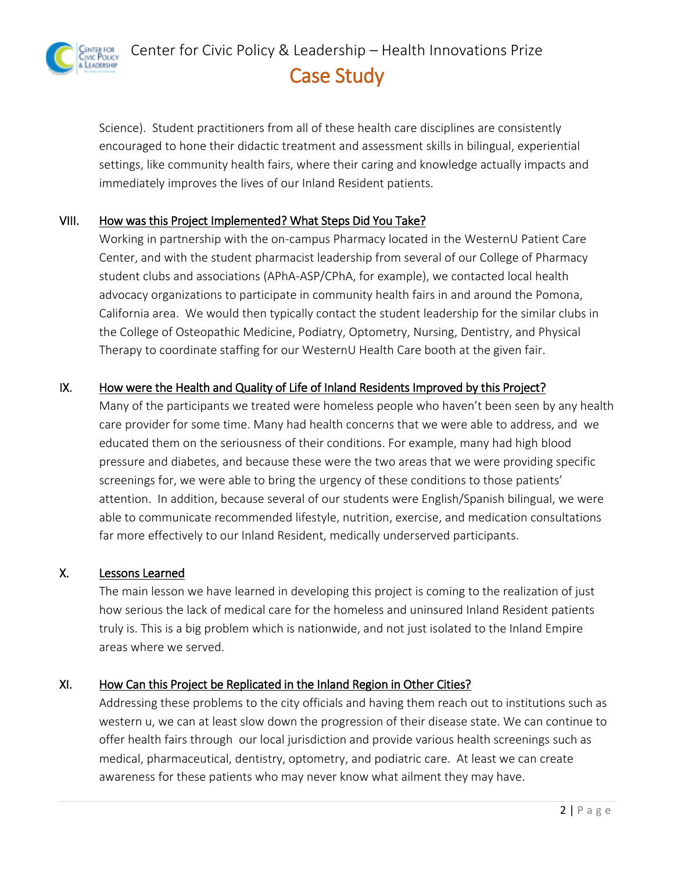enter for<br>ivic Policy<br>Leadership Center for Civic Policy & Leadership – Health Innovations Prize Case Study

Science). Student practitioners from all of these health care disciplines are consistently encouraged to hone their didactic treatment and assessment skills in bilingual, experiential settings, like community health fairs, where their caring and knowledge actually impacts and immediately improves the lives of our Inland Resident patients.

## VIII. How was this Project Implemented? What Steps Did You Take?

Working in partnership with the on-campus Pharmacy located in the WesternU Patient Care Center, and with the student pharmacist leadership from several of our College of Pharmacy student clubs and associations (APhA-ASP/CPhA, for example), we contacted local health advocacy organizations to participate in community health fairs in and around the Pomona, California area. We would then typically contact the student leadership for the similar clubs in the College of Osteopathic Medicine, Podiatry, Optometry, Nursing, Dentistry, and Physical Therapy to coordinate staffing for our WesternU Health Care booth at the given fair.

## IX. How were the Health and Quality of Life of Inland Residents Improved by this Project?

Many of the participants we treated were homeless people who haven't been seen by any health care provider for some time. Many had health concerns that we were able to address, and we educated them on the seriousness of their conditions. For example, many had high blood pressure and diabetes, and because these were the two areas that we were providing specific screenings for, we were able to bring the urgency of these conditions to those patients' attention. In addition, because several of our students were English/Spanish bilingual, we were able to communicate recommended lifestyle, nutrition, exercise, and medication consultations far more effectively to our Inland Resident, medically underserved participants.

## X. Lessons Learned

The main lesson we have learned in developing this project is coming to the realization of just how serious the lack of medical care for the homeless and uninsured Inland Resident patients truly is. This is a big problem which is nationwide, and not just isolated to the Inland Empire areas where we served.

## XI. How Can this Project be Replicated in the Inland Region in Other Cities?

Addressing these problems to the city officials and having them reach out to institutions such as western u, we can at least slow down the progression of their disease state. We can continue to offer health fairs through our local jurisdiction and provide various health screenings such as medical, pharmaceutical, dentistry, optometry, and podiatric care. At least we can create awareness for these patients who may never know what ailment they may have.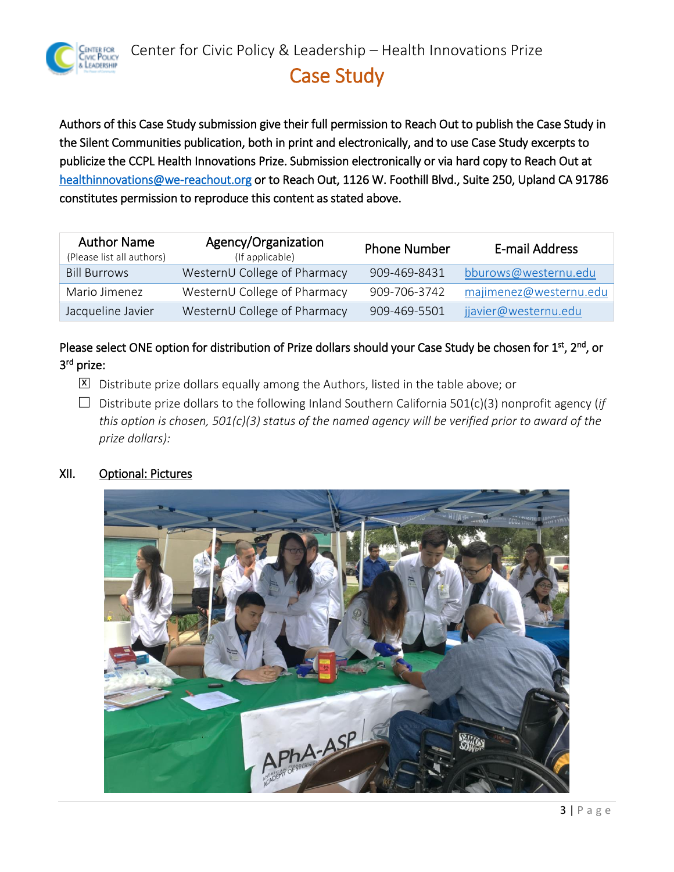

## Case Study

Authors of this Case Study submission give their full permission to Reach Out to publish the Case Study in the Silent Communities publication, both in print and electronically, and to use Case Study excerpts to publicize the CCPL Health Innovations Prize. Submission electronically or via hard copy to Reach Out at [healthinnovations@we-reachout.org](mailto:healthinnovations@we-reachout.org) or to Reach Out, 1126 W. Foothill Blvd., Suite 250, Upland CA 91786 constitutes permission to reproduce this content as stated above.

| <b>Author Name</b><br>(Please list all authors) | Agency/Organization<br>(If applicable) | <b>Phone Number</b> | E-mail Address         |
|-------------------------------------------------|----------------------------------------|---------------------|------------------------|
| <b>Bill Burrows</b>                             | WesternU College of Pharmacy           | 909-469-8431        | bburows@westernu.edu   |
| Mario Jimenez                                   | WesternU College of Pharmacy           | 909-706-3742        | majimenez@westernu.edu |
| Jacqueline Javier                               | WesternU College of Pharmacy           | 909-469-5501        | jjavier@westernu.edu   |

Please select ONE option for distribution of Prize dollars should your Case Study be chosen for 1<sup>st</sup>, 2<sup>nd</sup>, or 3<sup>rd</sup> prize:

- $\overline{X}$  Distribute prize dollars equally among the Authors, listed in the table above; or
- $\Box$  Distribute prize dollars to the following Inland Southern California 501(c)(3) nonprofit agency (*if this option is chosen, 501(c)(3) status of the named agency will be verified prior to award of the prize dollars):*

#### XII. Optional: Pictures

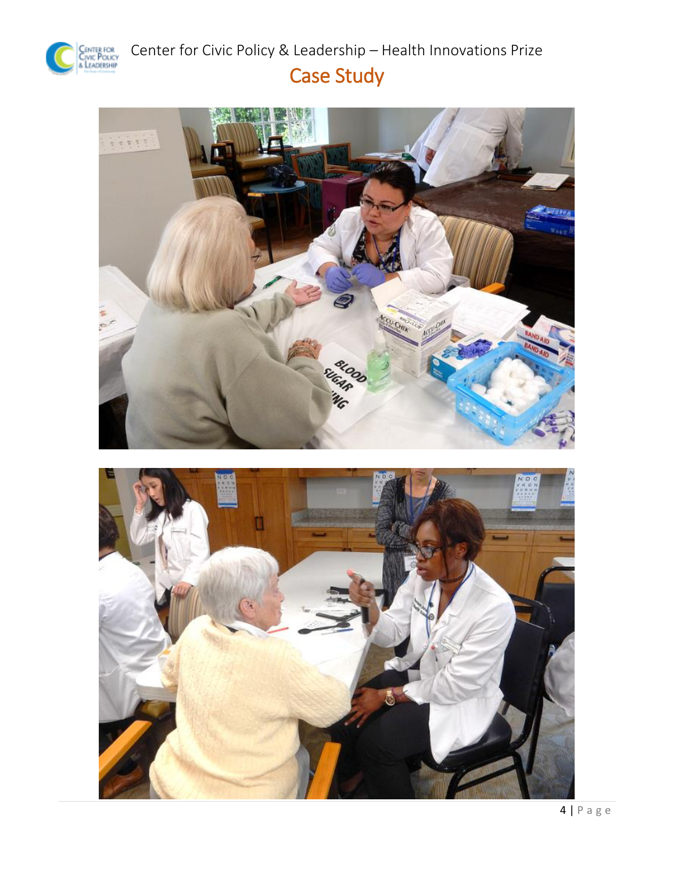

Center for Civic Policy & Leadership – Health Innovations Prize Case Study